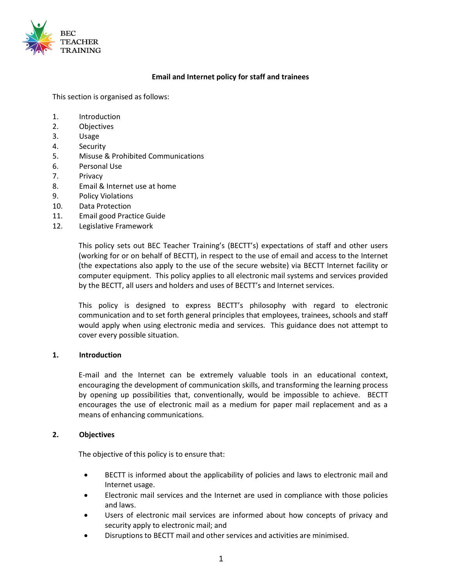

#### **Email and Internet policy for staff and trainees**

This section is organised as follows:

- 1. Introduction
- 2. Objectives
- 3. Usage
- 4. Security
- 5. Misuse & Prohibited Communications
- 6. Personal Use
- 7. Privacy
- 8. Email & Internet use at home
- 9. Policy Violations
- 10. Data Protection
- 11. Email good Practice Guide
- 12. Legislative Framework

This policy sets out BEC Teacher Training's (BECTT's) expectations of staff and other users (working for or on behalf of BECTT), in respect to the use of email and access to the Internet (the expectations also apply to the use of the secure website) via BECTT Internet facility or computer equipment. This policy applies to all electronic mail systems and services provided by the BECTT, all users and holders and uses of BECTT's and Internet services.

This policy is designed to express BECTT's philosophy with regard to electronic communication and to set forth general principles that employees, trainees, schools and staff would apply when using electronic media and services. This guidance does not attempt to cover every possible situation.

#### **1. Introduction**

E-mail and the Internet can be extremely valuable tools in an educational context, encouraging the development of communication skills, and transforming the learning process by opening up possibilities that, conventionally, would be impossible to achieve. BECTT encourages the use of electronic mail as a medium for paper mail replacement and as a means of enhancing communications.

#### **2. Objectives**

The objective of this policy is to ensure that:

- BECTT is informed about the applicability of policies and laws to electronic mail and Internet usage.
- Electronic mail services and the Internet are used in compliance with those policies and laws.
- Users of electronic mail services are informed about how concepts of privacy and security apply to electronic mail; and
- Disruptions to BECTT mail and other services and activities are minimised.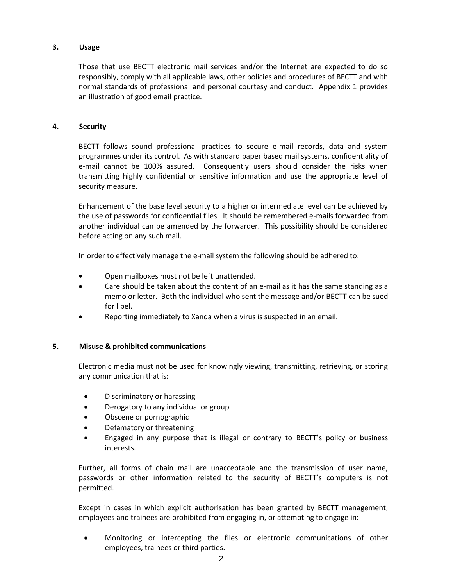# **3. Usage**

Those that use BECTT electronic mail services and/or the Internet are expected to do so responsibly, comply with all applicable laws, other policies and procedures of BECTT and with normal standards of professional and personal courtesy and conduct. Appendix 1 provides an illustration of good email practice.

## **4. Security**

BECTT follows sound professional practices to secure e-mail records, data and system programmes under its control. As with standard paper based mail systems, confidentiality of e-mail cannot be 100% assured. Consequently users should consider the risks when transmitting highly confidential or sensitive information and use the appropriate level of security measure.

Enhancement of the base level security to a higher or intermediate level can be achieved by the use of passwords for confidential files. It should be remembered e-mails forwarded from another individual can be amended by the forwarder. This possibility should be considered before acting on any such mail.

In order to effectively manage the e-mail system the following should be adhered to:

- Open mailboxes must not be left unattended.
- Care should be taken about the content of an e-mail as it has the same standing as a memo or letter. Both the individual who sent the message and/or BECTT can be sued for libel.
- Reporting immediately to Xanda when a virus is suspected in an email.

#### **5. Misuse & prohibited communications**

Electronic media must not be used for knowingly viewing, transmitting, retrieving, or storing any communication that is:

- Discriminatory or harassing
- Derogatory to any individual or group
- Obscene or pornographic
- Defamatory or threatening
- Engaged in any purpose that is illegal or contrary to BECTT's policy or business interests.

Further, all forms of chain mail are unacceptable and the transmission of user name, passwords or other information related to the security of BECTT's computers is not permitted.

Except in cases in which explicit authorisation has been granted by BECTT management, employees and trainees are prohibited from engaging in, or attempting to engage in:

• Monitoring or intercepting the files or electronic communications of other employees, trainees or third parties.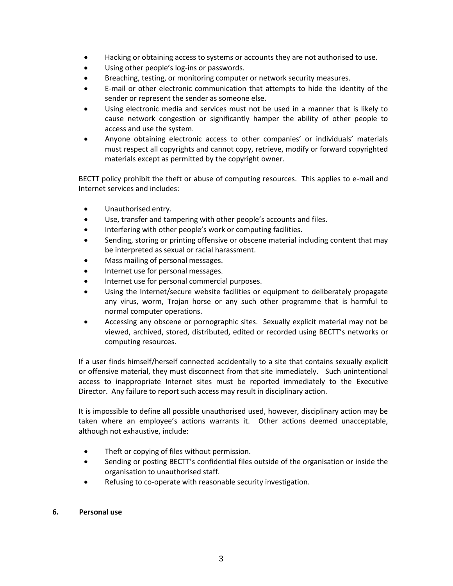- Hacking or obtaining access to systems or accounts they are not authorised to use.
- Using other people's log-ins or passwords.
- Breaching, testing, or monitoring computer or network security measures.
- E-mail or other electronic communication that attempts to hide the identity of the sender or represent the sender as someone else.
- Using electronic media and services must not be used in a manner that is likely to cause network congestion or significantly hamper the ability of other people to access and use the system.
- Anyone obtaining electronic access to other companies' or individuals' materials must respect all copyrights and cannot copy, retrieve, modify or forward copyrighted materials except as permitted by the copyright owner.

BECTT policy prohibit the theft or abuse of computing resources. This applies to e-mail and Internet services and includes:

- Unauthorised entry.
- Use, transfer and tampering with other people's accounts and files.
- Interfering with other people's work or computing facilities.
- Sending, storing or printing offensive or obscene material including content that may be interpreted as sexual or racial harassment.
- Mass mailing of personal messages.
- Internet use for personal messages.
- Internet use for personal commercial purposes.
- Using the Internet/secure website facilities or equipment to deliberately propagate any virus, worm, Trojan horse or any such other programme that is harmful to normal computer operations.
- Accessing any obscene or pornographic sites. Sexually explicit material may not be viewed, archived, stored, distributed, edited or recorded using BECTT's networks or computing resources.

If a user finds himself/herself connected accidentally to a site that contains sexually explicit or offensive material, they must disconnect from that site immediately. Such unintentional access to inappropriate Internet sites must be reported immediately to the Executive Director. Any failure to report such access may result in disciplinary action.

It is impossible to define all possible unauthorised used, however, disciplinary action may be taken where an employee's actions warrants it. Other actions deemed unacceptable, although not exhaustive, include:

- Theft or copying of files without permission.
- Sending or posting BECTT's confidential files outside of the organisation or inside the organisation to unauthorised staff.
- Refusing to co-operate with reasonable security investigation.

#### **6. Personal use**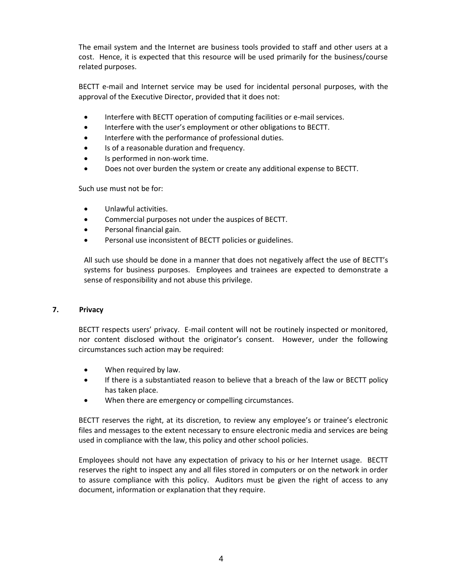The email system and the Internet are business tools provided to staff and other users at a cost. Hence, it is expected that this resource will be used primarily for the business/course related purposes.

BECTT e-mail and Internet service may be used for incidental personal purposes, with the approval of the Executive Director, provided that it does not:

- Interfere with BECTT operation of computing facilities or e-mail services.
- Interfere with the user's employment or other obligations to BECTT.
- Interfere with the performance of professional duties.
- Is of a reasonable duration and frequency.
- Is performed in non-work time.
- Does not over burden the system or create any additional expense to BECTT.

Such use must not be for:

- Unlawful activities.
- Commercial purposes not under the auspices of BECTT.
- Personal financial gain.
- Personal use inconsistent of BECTT policies or guidelines.

All such use should be done in a manner that does not negatively affect the use of BECTT's systems for business purposes. Employees and trainees are expected to demonstrate a sense of responsibility and not abuse this privilege.

## **7. Privacy**

BECTT respects users' privacy. E-mail content will not be routinely inspected or monitored, nor content disclosed without the originator's consent. However, under the following circumstances such action may be required:

- When required by law.
- If there is a substantiated reason to believe that a breach of the law or BECTT policy has taken place.
- When there are emergency or compelling circumstances.

BECTT reserves the right, at its discretion, to review any employee's or trainee's electronic files and messages to the extent necessary to ensure electronic media and services are being used in compliance with the law, this policy and other school policies.

Employees should not have any expectation of privacy to his or her Internet usage. BECTT reserves the right to inspect any and all files stored in computers or on the network in order to assure compliance with this policy. Auditors must be given the right of access to any document, information or explanation that they require.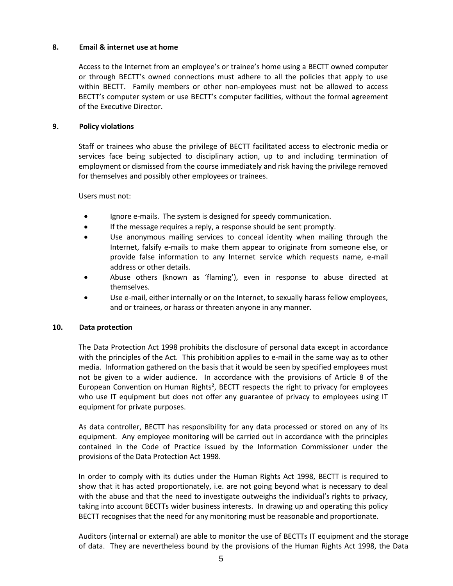## **8. Email & internet use at home**

Access to the Internet from an employee's or trainee's home using a BECTT owned computer or through BECTT's owned connections must adhere to all the policies that apply to use within BECTT. Family members or other non-employees must not be allowed to access BECTT's computer system or use BECTT's computer facilities, without the formal agreement of the Executive Director.

#### **9. Policy violations**

Staff or trainees who abuse the privilege of BECTT facilitated access to electronic media or services face being subjected to disciplinary action, up to and including termination of employment or dismissed from the course immediately and risk having the privilege removed for themselves and possibly other employees or trainees.

Users must not:

- Ignore e-mails. The system is designed for speedy communication.
- If the message requires a reply, a response should be sent promptly.
- Use anonymous mailing services to conceal identity when mailing through the Internet, falsify e-mails to make them appear to originate from someone else, or provide false information to any Internet service which requests name, e-mail address or other details.
- Abuse others (known as 'flaming'), even in response to abuse directed at themselves.
- Use e-mail, either internally or on the Internet, to sexually harass fellow employees, and or trainees, or harass or threaten anyone in any manner.

#### **10. Data protection**

The Data Protection Act 1998 prohibits the disclosure of personal data except in accordance with the principles of the Act. This prohibition applies to e-mail in the same way as to other media. Information gathered on the basis that it would be seen by specified employees must not be given to a wider audience. In accordance with the provisions of Article 8 of the European Convention on Human Rights<sup>2</sup>, BECTT respects the right to privacy for employees who use IT equipment but does not offer any guarantee of privacy to employees using IT equipment for private purposes.

As data controller, BECTT has responsibility for any data processed or stored on any of its equipment. Any employee monitoring will be carried out in accordance with the principles contained in the Code of Practice issued by the Information Commissioner under the provisions of the Data Protection Act 1998.

In order to comply with its duties under the Human Rights Act 1998, BECTT is required to show that it has acted proportionately, i.e. are not going beyond what is necessary to deal with the abuse and that the need to investigate outweighs the individual's rights to privacy, taking into account BECTTs wider business interests. In drawing up and operating this policy BECTT recognises that the need for any monitoring must be reasonable and proportionate.

Auditors (internal or external) are able to monitor the use of BECTTs IT equipment and the storage of data. They are nevertheless bound by the provisions of the Human Rights Act 1998, the Data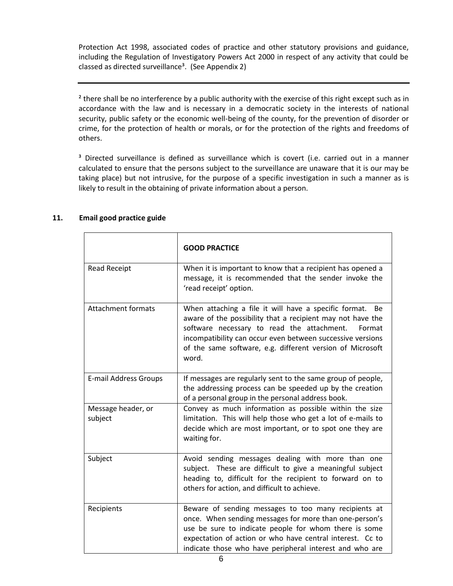Protection Act 1998, associated codes of practice and other statutory provisions and guidance, including the Regulation of Investigatory Powers Act 2000 in respect of any activity that could be classed as directed surveillance<sup>3</sup>. (See Appendix 2)

<sup>2</sup> there shall be no interference by a public authority with the exercise of this right except such as in accordance with the law and is necessary in a democratic society in the interests of national security, public safety or the economic well-being of the county, for the prevention of disorder or crime, for the protection of health or morals, or for the protection of the rights and freedoms of others.

<sup>3</sup> Directed surveillance is defined as surveillance which is covert (i.e. carried out in a manner calculated to ensure that the persons subject to the surveillance are unaware that it is our may be taking place) but not intrusive, for the purpose of a specific investigation in such a manner as is likely to result in the obtaining of private information about a person.

|                               | <b>GOOD PRACTICE</b>                                                                                                                                                                                                                                                                                                  |
|-------------------------------|-----------------------------------------------------------------------------------------------------------------------------------------------------------------------------------------------------------------------------------------------------------------------------------------------------------------------|
| Read Receipt                  | When it is important to know that a recipient has opened a<br>message, it is recommended that the sender invoke the<br>'read receipt' option.                                                                                                                                                                         |
| <b>Attachment formats</b>     | When attaching a file it will have a specific format.<br>Be<br>aware of the possibility that a recipient may not have the<br>software necessary to read the attachment.<br>Format<br>incompatibility can occur even between successive versions<br>of the same software, e.g. different version of Microsoft<br>word. |
| <b>E-mail Address Groups</b>  | If messages are regularly sent to the same group of people,<br>the addressing process can be speeded up by the creation<br>of a personal group in the personal address book.                                                                                                                                          |
| Message header, or<br>subject | Convey as much information as possible within the size<br>limitation. This will help those who get a lot of e-mails to<br>decide which are most important, or to spot one they are<br>waiting for.                                                                                                                    |
| Subject                       | Avoid sending messages dealing with more than one<br>subject. These are difficult to give a meaningful subject<br>heading to, difficult for the recipient to forward on to<br>others for action, and difficult to achieve.                                                                                            |
| Recipients                    | Beware of sending messages to too many recipients at<br>once. When sending messages for more than one-person's<br>use be sure to indicate people for whom there is some<br>expectation of action or who have central interest. Cc to<br>indicate those who have peripheral interest and who are                       |

# **11. Email good practice guide**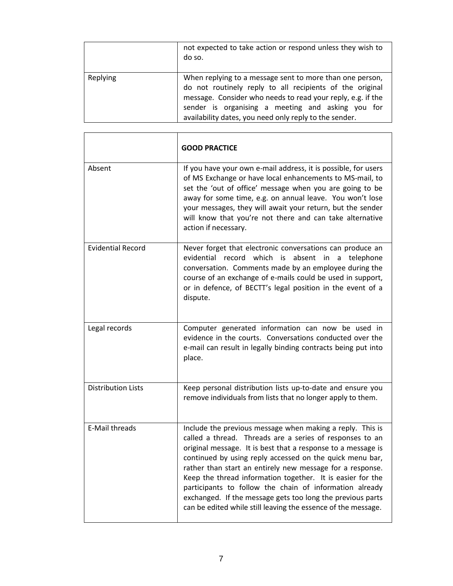|          | not expected to take action or respond unless they wish to<br>do so.                                                                                                                                                                                                                               |
|----------|----------------------------------------------------------------------------------------------------------------------------------------------------------------------------------------------------------------------------------------------------------------------------------------------------|
| Replying | When replying to a message sent to more than one person,<br>do not routinely reply to all recipients of the original<br>message. Consider who needs to read your reply, e.g. if the<br>sender is organising a meeting and asking you for<br>availability dates, you need only reply to the sender. |

|                           | <b>GOOD PRACTICE</b>                                                                                                                                                                                                                                                                                                                                                                                                                                                                                                                                                   |
|---------------------------|------------------------------------------------------------------------------------------------------------------------------------------------------------------------------------------------------------------------------------------------------------------------------------------------------------------------------------------------------------------------------------------------------------------------------------------------------------------------------------------------------------------------------------------------------------------------|
| Absent                    | If you have your own e-mail address, it is possible, for users<br>of MS Exchange or have local enhancements to MS-mail, to<br>set the 'out of office' message when you are going to be<br>away for some time, e.g. on annual leave. You won't lose<br>your messages, they will await your return, but the sender<br>will know that you're not there and can take alternative<br>action if necessary.                                                                                                                                                                   |
| <b>Evidential Record</b>  | Never forget that electronic conversations can produce an<br>evidential record<br>which<br>is<br>absent<br>in<br>a<br>telephone<br>conversation. Comments made by an employee during the<br>course of an exchange of e-mails could be used in support,<br>or in defence, of BECTT's legal position in the event of a<br>dispute.                                                                                                                                                                                                                                       |
| Legal records             | Computer generated information can now be used in<br>evidence in the courts. Conversations conducted over the<br>e-mail can result in legally binding contracts being put into<br>place.                                                                                                                                                                                                                                                                                                                                                                               |
| <b>Distribution Lists</b> | Keep personal distribution lists up-to-date and ensure you<br>remove individuals from lists that no longer apply to them.                                                                                                                                                                                                                                                                                                                                                                                                                                              |
| <b>E-Mail threads</b>     | Include the previous message when making a reply. This is<br>called a thread. Threads are a series of responses to an<br>original message. It is best that a response to a message is<br>continued by using reply accessed on the quick menu bar,<br>rather than start an entirely new message for a response.<br>Keep the thread information together. It is easier for the<br>participants to follow the chain of information already<br>exchanged. If the message gets too long the previous parts<br>can be edited while still leaving the essence of the message. |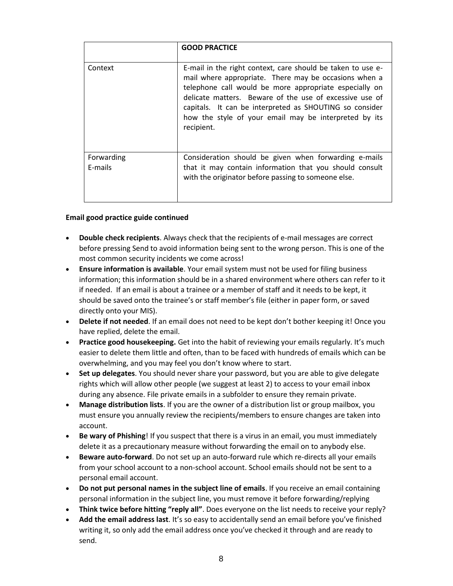|                       | <b>GOOD PRACTICE</b>                                                                                                                                                                                                                                                                                                                                                        |
|-----------------------|-----------------------------------------------------------------------------------------------------------------------------------------------------------------------------------------------------------------------------------------------------------------------------------------------------------------------------------------------------------------------------|
| Context               | E-mail in the right context, care should be taken to use e-<br>mail where appropriate. There may be occasions when a<br>telephone call would be more appropriate especially on<br>delicate matters. Beware of the use of excessive use of<br>capitals. It can be interpreted as SHOUTING so consider<br>how the style of your email may be interpreted by its<br>recipient. |
| Forwarding<br>E-mails | Consideration should be given when forwarding e-mails<br>that it may contain information that you should consult<br>with the originator before passing to someone else.                                                                                                                                                                                                     |

#### **Email good practice guide continued**

- **Double check recipients**. Always check that the recipients of e-mail messages are correct before pressing Send to avoid information being sent to the wrong person. This is one of the most common security incidents we come across!
- **Ensure information is available**. Your email system must not be used for filing business information; this information should be in a shared environment where others can refer to it if needed. If an email is about a trainee or a member of staff and it needs to be kept, it should be saved onto the trainee's or staff member's file (either in paper form, or saved directly onto your MIS).
- **Delete if not needed**. If an email does not need to be kept don't bother keeping it! Once you have replied, delete the email.
- **Practice good housekeeping.** Get into the habit of reviewing your emails regularly. It's much easier to delete them little and often, than to be faced with hundreds of emails which can be overwhelming, and you may feel you don't know where to start.
- **Set up delegates**. You should never share your password, but you are able to give delegate rights which will allow other people (we suggest at least 2) to access to your email inbox during any absence. File private emails in a subfolder to ensure they remain private.
- **Manage distribution lists**. If you are the owner of a distribution list or group mailbox, you must ensure you annually review the recipients/members to ensure changes are taken into account.
- **Be wary of Phishing**! If you suspect that there is a virus in an email, you must immediately delete it as a precautionary measure without forwarding the email on to anybody else.
- **Beware auto-forward**. Do not set up an auto-forward rule which re-directs all your emails from your school account to a non-school account. School emails should not be sent to a personal email account.
- **Do not put personal names in the subject line of emails**. If you receive an email containing personal information in the subject line, you must remove it before forwarding/replying
- **Think twice before hitting "reply all"**. Does everyone on the list needs to receive your reply?
- **Add the email address last**. It's so easy to accidentally send an email before you've finished writing it, so only add the email address once you've checked it through and are ready to send.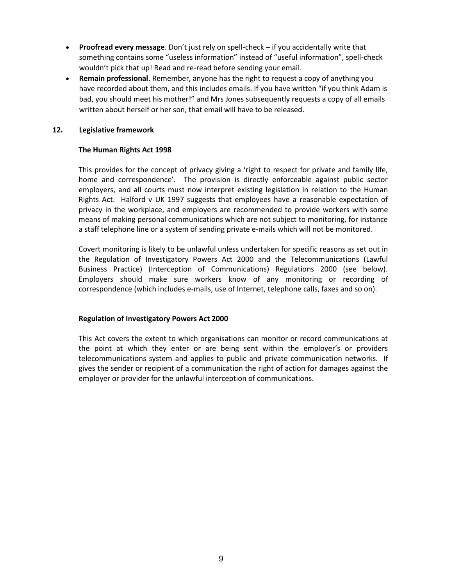- **Proofread every message**. Don't just rely on spell-check if you accidentally write that something contains some "useless information" instead of "useful information", spell-check wouldn't pick that up! Read and re-read before sending your email.
- **Remain professional.** Remember, anyone has the right to request a copy of anything you have recorded about them, and this includes emails. If you have written "if you think Adam is bad, you should meet his mother!" and Mrs Jones subsequently requests a copy of all emails written about herself or her son, that email will have to be released.

#### **12. Legislative framework**

#### **The Human Rights Act 1998**

This provides for the concept of privacy giving a 'right to respect for private and family life, home and correspondence'. The provision is directly enforceable against public sector employers, and all courts must now interpret existing legislation in relation to the Human Rights Act. Halford v UK 1997 suggests that employees have a reasonable expectation of privacy in the workplace, and employers are recommended to provide workers with some means of making personal communications which are not subject to monitoring, for instance a staff telephone line or a system of sending private e-mails which will not be monitored.

Covert monitoring is likely to be unlawful unless undertaken for specific reasons as set out in the Regulation of Investigatory Powers Act 2000 and the Telecommunications (Lawful Business Practice) (Interception of Communications) Regulations 2000 (see below). Employers should make sure workers know of any monitoring or recording of correspondence (which includes e-mails, use of Internet, telephone calls, faxes and so on).

#### **Regulation of Investigatory Powers Act 2000**

This Act covers the extent to which organisations can monitor or record communications at the point at which they enter or are being sent within the employer's or providers telecommunications system and applies to public and private communication networks. If gives the sender or recipient of a communication the right of action for damages against the employer or provider for the unlawful interception of communications.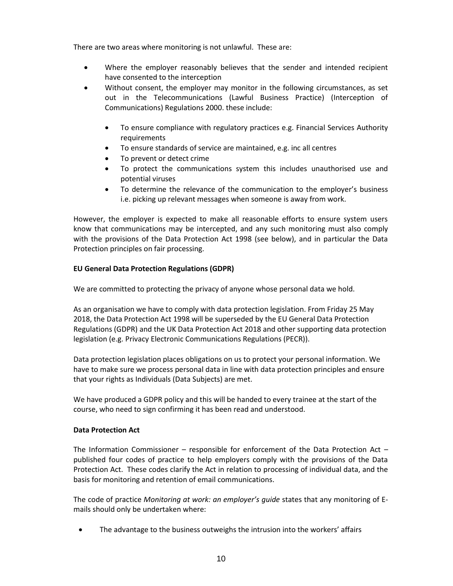There are two areas where monitoring is not unlawful. These are:

- Where the employer reasonably believes that the sender and intended recipient have consented to the interception
- Without consent, the employer may monitor in the following circumstances, as set out in the Telecommunications (Lawful Business Practice) (Interception of Communications) Regulations 2000. these include:
	- To ensure compliance with regulatory practices e.g. Financial Services Authority requirements
	- To ensure standards of service are maintained, e.g. inc all centres
	- To prevent or detect crime
	- To protect the communications system this includes unauthorised use and potential viruses
	- To determine the relevance of the communication to the employer's business i.e. picking up relevant messages when someone is away from work.

However, the employer is expected to make all reasonable efforts to ensure system users know that communications may be intercepted, and any such monitoring must also comply with the provisions of the Data Protection Act 1998 (see below), and in particular the Data Protection principles on fair processing.

# **EU General Data Protection Regulations (GDPR)**

We are committed to protecting the privacy of anyone whose personal data we hold.

As an organisation we have to comply with data protection legislation. From Friday 25 May 2018, the Data Protection Act 1998 will be superseded by the EU General Data Protection Regulations (GDPR) and the UK Data Protection Act 2018 and other supporting data protection legislation (e.g. Privacy Electronic Communications Regulations (PECR)).

Data protection legislation places obligations on us to protect your personal information. We have to make sure we process personal data in line with data protection principles and ensure that your rights as Individuals (Data Subjects) are met.

We have produced a GDPR policy and this will be handed to every trainee at the start of the course, who need to sign confirming it has been read and understood.

#### **Data Protection Act**

The Information Commissioner – responsible for enforcement of the Data Protection Act – published four codes of practice to help employers comply with the provisions of the Data Protection Act. These codes clarify the Act in relation to processing of individual data, and the basis for monitoring and retention of email communications.

The code of practice *Monitoring at work: an employer's guide* states that any monitoring of Emails should only be undertaken where:

The advantage to the business outweighs the intrusion into the workers' affairs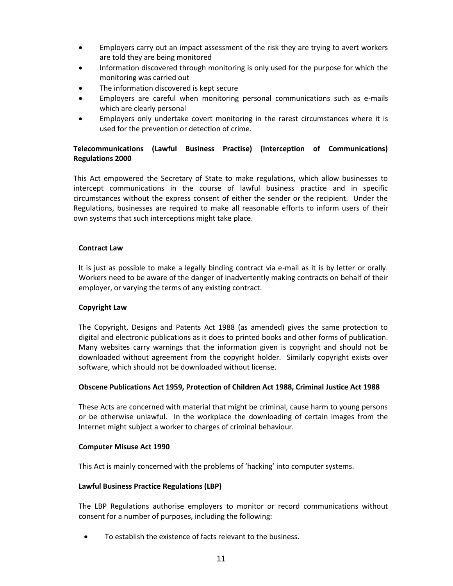- Employers carry out an impact assessment of the risk they are trying to avert workers are told they are being monitored
- Information discovered through monitoring is only used for the purpose for which the monitoring was carried out
- The information discovered is kept secure
- Employers are careful when monitoring personal communications such as e-mails which are clearly personal
- Employers only undertake covert monitoring in the rarest circumstances where it is used for the prevention or detection of crime.

# **Telecommunications (Lawful Business Practise) (Interception of Communications) Regulations 2000**

This Act empowered the Secretary of State to make regulations, which allow businesses to intercept communications in the course of lawful business practice and in specific circumstances without the express consent of either the sender or the recipient. Under the Regulations, businesses are required to make all reasonable efforts to inform users of their own systems that such interceptions might take place.

#### **Contract Law**

It is just as possible to make a legally binding contract via e-mail as it is by letter or orally. Workers need to be aware of the danger of inadvertently making contracts on behalf of their employer, or varying the terms of any existing contract.

#### **Copyright Law**

The Copyright, Designs and Patents Act 1988 (as amended) gives the same protection to digital and electronic publications as it does to printed books and other forms of publication. Many websites carry warnings that the information given is copyright and should not be downloaded without agreement from the copyright holder. Similarly copyright exists over software, which should not be downloaded without license.

#### **Obscene Publications Act 1959, Protection of Children Act 1988, Criminal Justice Act 1988**

These Acts are concerned with material that might be criminal, cause harm to young persons or be otherwise unlawful. In the workplace the downloading of certain images from the Internet might subject a worker to charges of criminal behaviour.

#### **Computer Misuse Act 1990**

This Act is mainly concerned with the problems of 'hacking' into computer systems.

#### **Lawful Business Practice Regulations (LBP)**

The LBP Regulations authorise employers to monitor or record communications without consent for a number of purposes, including the following:

• To establish the existence of facts relevant to the business.